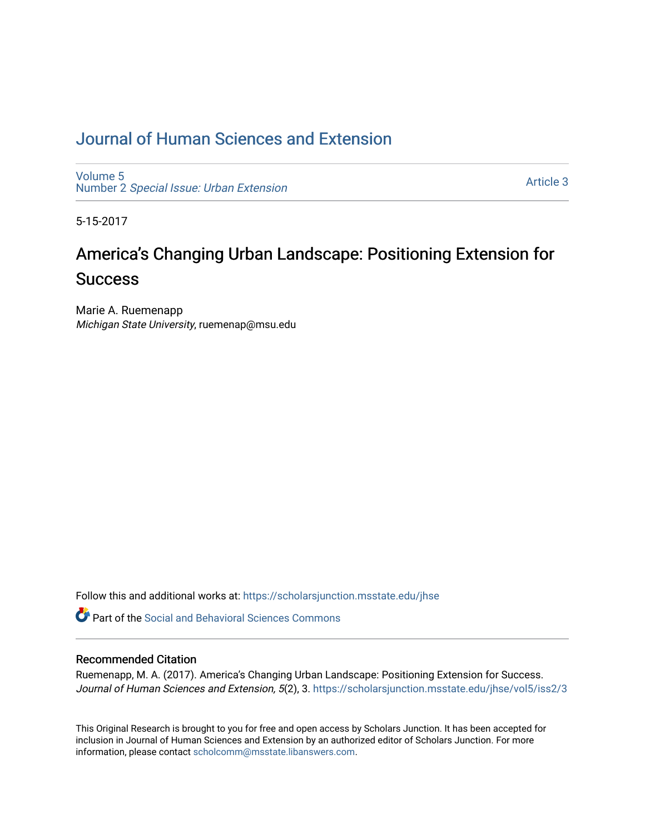# [Journal of Human Sciences and Extension](https://scholarsjunction.msstate.edu/jhse)

[Volume 5](https://scholarsjunction.msstate.edu/jhse/vol5) Number 2 [Special Issue: Urban Extension](https://scholarsjunction.msstate.edu/jhse/vol5/iss2) 

[Article 3](https://scholarsjunction.msstate.edu/jhse/vol5/iss2/3) 

5-15-2017

# America's Changing Urban Landscape: Positioning Extension for **Success**

Marie A. Ruemenapp Michigan State University, ruemenap@msu.edu

Follow this and additional works at: [https://scholarsjunction.msstate.edu/jhse](https://scholarsjunction.msstate.edu/jhse?utm_source=scholarsjunction.msstate.edu%2Fjhse%2Fvol5%2Fiss2%2F3&utm_medium=PDF&utm_campaign=PDFCoverPages)

**C** Part of the Social and Behavioral Sciences Commons

## Recommended Citation

Ruemenapp, M. A. (2017). America's Changing Urban Landscape: Positioning Extension for Success. Journal of Human Sciences and Extension, 5(2), 3. https://scholarsjunction.msstate.edu/jhse/vol5/iss2/3

This Original Research is brought to you for free and open access by Scholars Junction. It has been accepted for inclusion in Journal of Human Sciences and Extension by an authorized editor of Scholars Junction. For more information, please contact [scholcomm@msstate.libanswers.com](mailto:scholcomm@msstate.libanswers.com).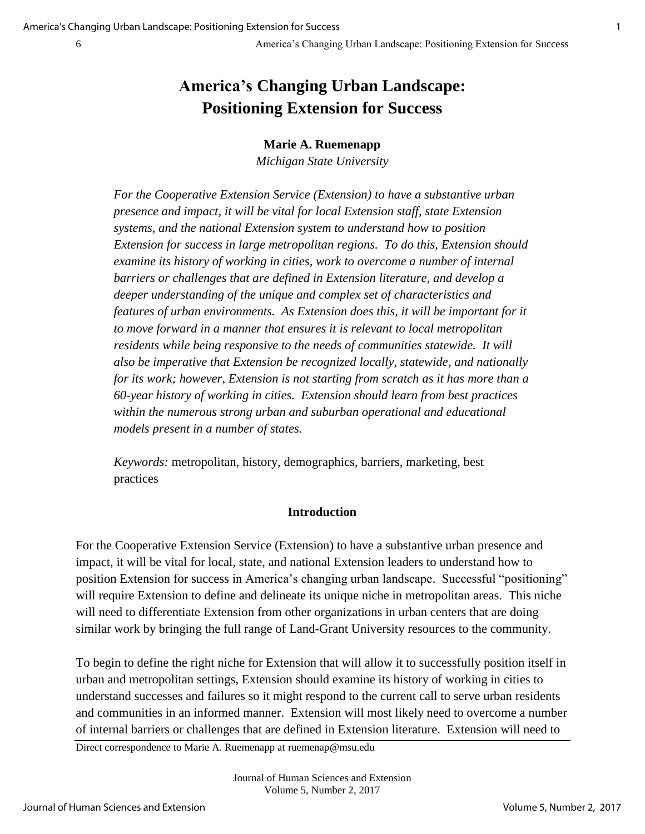# **America's Changing Urban Landscape: Positioning Extension for Success**

## **Marie A. Ruemenapp**

*Michigan State University* 

*For the Cooperative Extension Service (Extension) to have a substantive urban presence and impact, it will be vital for local Extension staff, state Extension systems, and the national Extension system to understand how to position Extension for success in large metropolitan regions. To do this, Extension should examine its history of working in cities, work to overcome a number of internal barriers or challenges that are defined in Extension literature, and develop a deeper understanding of the unique and complex set of characteristics and features of urban environments. As Extension does this, it will be important for it to move forward in a manner that ensures it is relevant to local metropolitan residents while being responsive to the needs of communities statewide. It will also be imperative that Extension be recognized locally, statewide, and nationally for its work; however, Extension is not starting from scratch as it has more than a 60-year history of working in cities. Extension should learn from best practices within the numerous strong urban and suburban operational and educational models present in a number of states.* 

*Keywords:* metropolitan, history, demographics, barriers, marketing, best practices

## **Introduction**

For the Cooperative Extension Service (Extension) to have a substantive urban presence and impact, it will be vital for local, state, and national Extension leaders to understand how to position Extension for success in America's changing urban landscape. Successful "positioning" will require Extension to define and delineate its unique niche in metropolitan areas. This niche will need to differentiate Extension from other organizations in urban centers that are doing similar work by bringing the full range of Land-Grant University resources to the community.

To begin to define the right niche for Extension that will allow it to successfully position itself in urban and metropolitan settings, Extension should examine its history of working in cities to understand successes and failures so it might respond to the current call to serve urban residents and communities in an informed manner. Extension will most likely need to overcome a number of internal barriers or challenges that are defined in Extension literature. Extension will need to

Direct correspondence to Marie A. Ruemenapp at [ruemenap@msu.edu](mailto:ruemenap@msu.edu)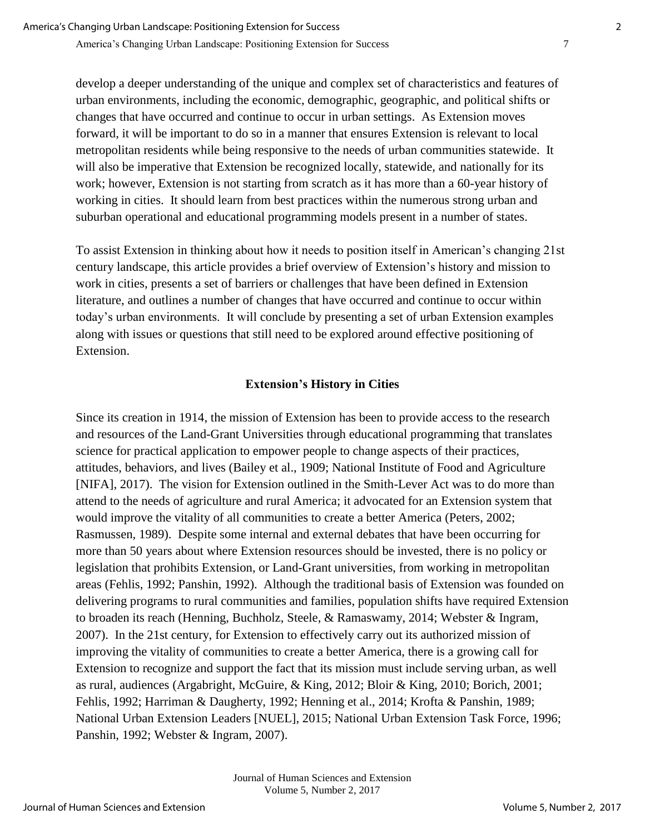develop a deeper understanding of the unique and complex set of characteristics and features of urban environments, including the economic, demographic, geographic, and political shifts or changes that have occurred and continue to occur in urban settings. As Extension moves forward, it will be important to do so in a manner that ensures Extension is relevant to local metropolitan residents while being responsive to the needs of urban communities statewide. It will also be imperative that Extension be recognized locally, statewide, and nationally for its work; however, Extension is not starting from scratch as it has more than a 60-year history of working in cities. It should learn from best practices within the numerous strong urban and suburban operational and educational programming models present in a number of states.

To assist Extension in thinking about how it needs to position itself in American's changing 21st century landscape, this article provides a brief overview of Extension's history and mission to work in cities, presents a set of barriers or challenges that have been defined in Extension literature, and outlines a number of changes that have occurred and continue to occur within today's urban environments. It will conclude by presenting a set of urban Extension examples along with issues or questions that still need to be explored around effective positioning of Extension.

# **Extension's History in Cities**

Since its creation in 1914, the mission of Extension has been to provide access to the research and resources of the Land-Grant Universities through educational programming that translates science for practical application to empower people to change aspects of their practices, attitudes, behaviors, and lives (Bailey et al., 1909; National Institute of Food and Agriculture [NIFA], 2017). The vision for Extension outlined in the Smith-Lever Act was to do more than attend to the needs of agriculture and rural America; it advocated for an Extension system that would improve the vitality of all communities to create a better America (Peters, 2002; Rasmussen, 1989). Despite some internal and external debates that have been occurring for more than 50 years about where Extension resources should be invested, there is no policy or legislation that prohibits Extension, or Land-Grant universities, from working in metropolitan areas (Fehlis, 1992; Panshin, 1992). Although the traditional basis of Extension was founded on delivering programs to rural communities and families, population shifts have required Extension to broaden its reach (Henning, Buchholz, Steele, & Ramaswamy, 2014; Webster & Ingram, 2007). In the 21st century, for Extension to effectively carry out its authorized mission of improving the vitality of communities to create a better America, there is a growing call for Extension to recognize and support the fact that its mission must include serving urban, as well as rural, audiences (Argabright, McGuire, & King, 2012; Bloir & King, 2010; Borich, 2001; Fehlis, 1992; Harriman & Daugherty, 1992; Henning et al., 2014; Krofta & Panshin, 1989; National Urban Extension Leaders [NUEL], 2015; National Urban Extension Task Force, 1996; Panshin, 1992; Webster & Ingram, 2007).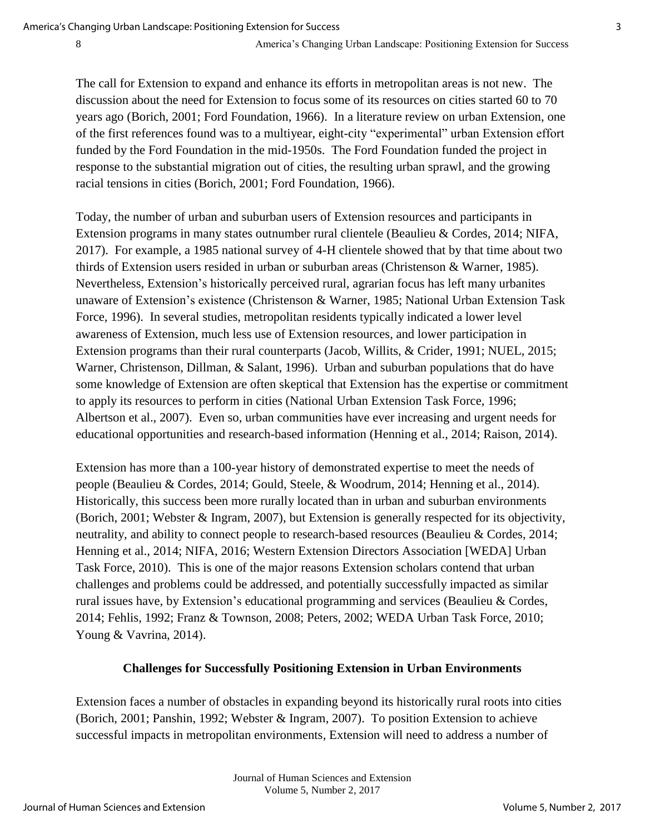The call for Extension to expand and enhance its efforts in metropolitan areas is not new. The discussion about the need for Extension to focus some of its resources on cities started 60 to 70 years ago (Borich, 2001; Ford Foundation, 1966). In a literature review on urban Extension, one of the first references found was to a multiyear, eight-city "experimental" urban Extension effort funded by the Ford Foundation in the mid-1950s. The Ford Foundation funded the project in response to the substantial migration out of cities, the resulting urban sprawl, and the growing racial tensions in cities (Borich, 2001; Ford Foundation, 1966).

Today, the number of urban and suburban users of Extension resources and participants in Extension programs in many states outnumber rural clientele (Beaulieu & Cordes, 2014; NIFA, 2017). For example, a 1985 national survey of 4-H clientele showed that by that time about two thirds of Extension users resided in urban or suburban areas (Christenson & Warner, 1985). Nevertheless, Extension's historically perceived rural, agrarian focus has left many urbanites unaware of Extension's existence (Christenson & Warner, 1985; National Urban Extension Task Force, 1996). In several studies, metropolitan residents typically indicated a lower level awareness of Extension, much less use of Extension resources, and lower participation in Extension programs than their rural counterparts (Jacob, Willits, & Crider, 1991; NUEL, 2015; Warner, Christenson, Dillman, & Salant, 1996). Urban and suburban populations that do have some knowledge of Extension are often skeptical that Extension has the expertise or commitment to apply its resources to perform in cities (National Urban Extension Task Force, 1996; Albertson et al., 2007). Even so, urban communities have ever increasing and urgent needs for educational opportunities and research-based information (Henning et al., 2014; Raison, 2014).

Extension has more than a 100-year history of demonstrated expertise to meet the needs of people (Beaulieu & Cordes, 2014; Gould, Steele, & Woodrum, 2014; Henning et al., 2014). Historically, this success been more rurally located than in urban and suburban environments (Borich, 2001; Webster & Ingram, 2007), but Extension is generally respected for its objectivity, neutrality, and ability to connect people to research-based resources (Beaulieu & Cordes, 2014; Henning et al., 2014; NIFA, 2016; Western Extension Directors Association [WEDA] Urban Task Force, 2010). This is one of the major reasons Extension scholars contend that urban challenges and problems could be addressed, and potentially successfully impacted as similar rural issues have, by Extension's educational programming and services (Beaulieu & Cordes, 2014; Fehlis, 1992; Franz & Townson, 2008; Peters, 2002; WEDA Urban Task Force, 2010; Young & Vavrina, 2014).

## **Challenges for Successfully Positioning Extension in Urban Environments**

Extension faces a number of obstacles in expanding beyond its historically rural roots into cities (Borich, 2001; Panshin, 1992; Webster & Ingram, 2007). To position Extension to achieve successful impacts in metropolitan environments, Extension will need to address a number of

> Journal of Human Sciences and Extension Volume 5, Number 2, 2017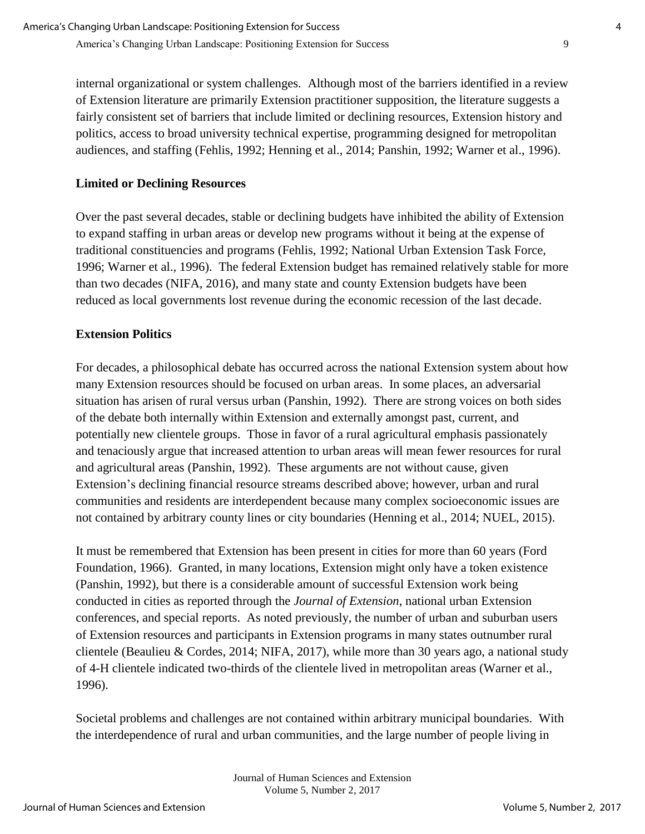internal organizational or system challenges. Although most of the barriers identified in a review of Extension literature are primarily Extension practitioner supposition, the literature suggests a fairly consistent set of barriers that include limited or declining resources, Extension history and politics, access to broad university technical expertise, programming designed for metropolitan audiences, and staffing (Fehlis, 1992; Henning et al., 2014; Panshin, 1992; Warner et al., 1996).

# **Limited or Declining Resources**

Over the past several decades, stable or declining budgets have inhibited the ability of Extension to expand staffing in urban areas or develop new programs without it being at the expense of traditional constituencies and programs (Fehlis, 1992; National Urban Extension Task Force, 1996; Warner et al., 1996). The federal Extension budget has remained relatively stable for more than two decades (NIFA, 2016), and many state and county Extension budgets have been reduced as local governments lost revenue during the economic recession of the last decade.

# **Extension Politics**

For decades, a philosophical debate has occurred across the national Extension system about how many Extension resources should be focused on urban areas. In some places, an adversarial situation has arisen of rural versus urban (Panshin, 1992). There are strong voices on both sides of the debate both internally within Extension and externally amongst past, current, and potentially new clientele groups. Those in favor of a rural agricultural emphasis passionately and tenaciously argue that increased attention to urban areas will mean fewer resources for rural and agricultural areas (Panshin, 1992). These arguments are not without cause, given Extension's declining financial resource streams described above; however, urban and rural communities and residents are interdependent because many complex socioeconomic issues are not contained by arbitrary county lines or city boundaries (Henning et al., 2014; NUEL, 2015).

It must be remembered that Extension has been present in cities for more than 60 years (Ford Foundation, 1966). Granted, in many locations, Extension might only have a token existence (Panshin, 1992), but there is a considerable amount of successful Extension work being conducted in cities as reported through the *Journal of Extension*, national urban Extension conferences, and special reports. As noted previously, the number of urban and suburban users of Extension resources and participants in Extension programs in many states outnumber rural clientele (Beaulieu & Cordes, 2014; NIFA, 2017), while more than 30 years ago, a national study of 4-H clientele indicated two-thirds of the clientele lived in metropolitan areas (Warner et al., 1996).

Societal problems and challenges are not contained within arbitrary municipal boundaries. With the interdependence of rural and urban communities, and the large number of people living in

> Journal of Human Sciences and Extension Volume 5, Number 2, 2017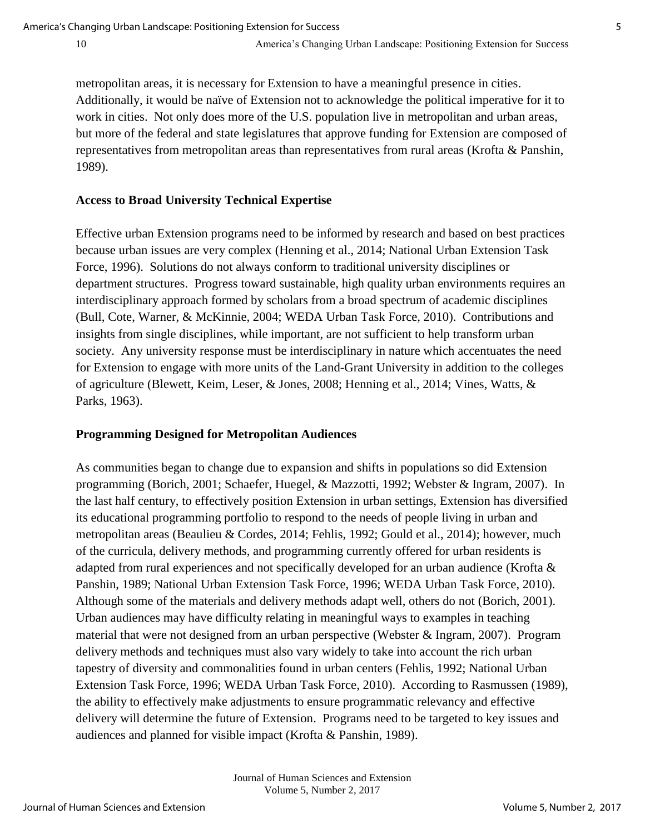metropolitan areas, it is necessary for Extension to have a meaningful presence in cities. Additionally, it would be naïve of Extension not to acknowledge the political imperative for it to work in cities. Not only does more of the U.S. population live in metropolitan and urban areas, but more of the federal and state legislatures that approve funding for Extension are composed of representatives from metropolitan areas than representatives from rural areas (Krofta & Panshin, 1989).

#### **Access to Broad University Technical Expertise**

Effective urban Extension programs need to be informed by research and based on best practices because urban issues are very complex (Henning et al., 2014; National Urban Extension Task Force, 1996). Solutions do not always conform to traditional university disciplines or department structures. Progress toward sustainable, high quality urban environments requires an interdisciplinary approach formed by scholars from a broad spectrum of academic disciplines (Bull, Cote, Warner, & McKinnie, 2004; WEDA Urban Task Force, 2010). Contributions and insights from single disciplines, while important, are not sufficient to help transform urban society. Any university response must be interdisciplinary in nature which accentuates the need for Extension to engage with more units of the Land-Grant University in addition to the colleges of agriculture (Blewett, Keim, Leser, & Jones, 2008; Henning et al., 2014; Vines, Watts, & Parks, 1963).

#### **Programming Designed for Metropolitan Audiences**

As communities began to change due to expansion and shifts in populations so did Extension programming (Borich, 2001; Schaefer, Huegel, & Mazzotti, 1992; Webster & Ingram, 2007). In the last half century, to effectively position Extension in urban settings, Extension has diversified its educational programming portfolio to respond to the needs of people living in urban and metropolitan areas (Beaulieu & Cordes, 2014; Fehlis, 1992; Gould et al., 2014); however, much of the curricula, delivery methods, and programming currently offered for urban residents is adapted from rural experiences and not specifically developed for an urban audience (Krofta & Panshin, 1989; National Urban Extension Task Force, 1996; WEDA Urban Task Force, 2010). Although some of the materials and delivery methods adapt well, others do not (Borich, 2001). Urban audiences may have difficulty relating in meaningful ways to examples in teaching material that were not designed from an urban perspective (Webster & Ingram, 2007). Program delivery methods and techniques must also vary widely to take into account the rich urban tapestry of diversity and commonalities found in urban centers (Fehlis, 1992; National Urban Extension Task Force, 1996; WEDA Urban Task Force, 2010). According to Rasmussen (1989), the ability to effectively make adjustments to ensure programmatic relevancy and effective delivery will determine the future of Extension. Programs need to be targeted to key issues and audiences and planned for visible impact (Krofta & Panshin, 1989).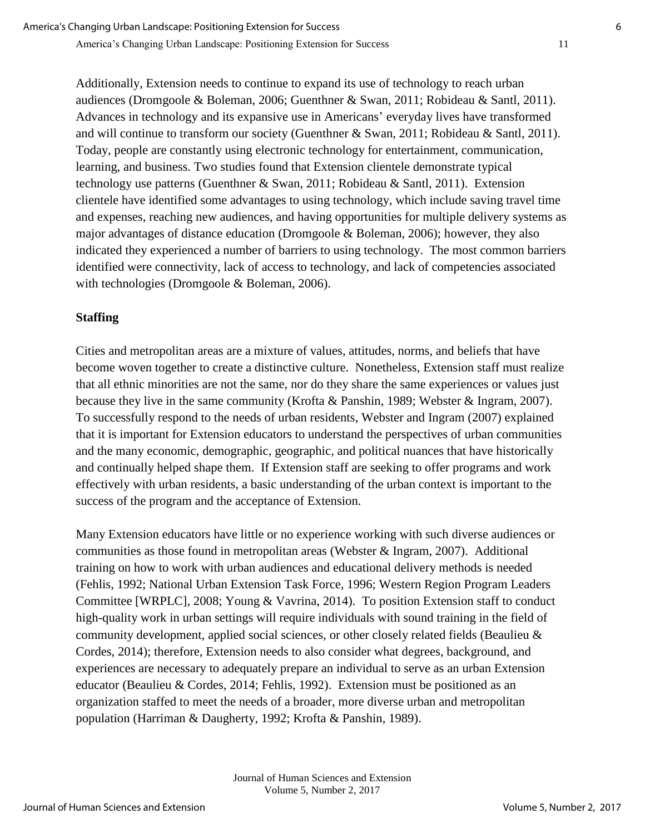Additionally, Extension needs to continue to expand its use of technology to reach urban audiences (Dromgoole & Boleman, 2006; Guenthner & Swan, 2011; Robideau & Santl, 2011). Advances in technology and its expansive use in Americans' everyday lives have transformed and will continue to transform our society (Guenthner & Swan, 2011; Robideau & Santl, 2011). Today, people are constantly using electronic technology for entertainment, communication, learning, and business. Two studies found that Extension clientele demonstrate typical technology use patterns (Guenthner & Swan, 2011; Robideau & Santl, 2011). Extension clientele have identified some advantages to using technology, which include saving travel time and expenses, reaching new audiences, and having opportunities for multiple delivery systems as major advantages of distance education (Dromgoole & Boleman, 2006); however, they also indicated they experienced a number of barriers to using technology. The most common barriers identified were connectivity, lack of access to technology, and lack of competencies associated with technologies (Dromgoole & Boleman, 2006).

## **Staffing**

Cities and metropolitan areas are a mixture of values, attitudes, norms, and beliefs that have become woven together to create a distinctive culture. Nonetheless, Extension staff must realize that all ethnic minorities are not the same, nor do they share the same experiences or values just because they live in the same community (Krofta & Panshin, 1989; Webster & Ingram, 2007). To successfully respond to the needs of urban residents, Webster and Ingram (2007) explained that it is important for Extension educators to understand the perspectives of urban communities and the many economic, demographic, geographic, and political nuances that have historically and continually helped shape them. If Extension staff are seeking to offer programs and work effectively with urban residents, a basic understanding of the urban context is important to the success of the program and the acceptance of Extension.

Many Extension educators have little or no experience working with such diverse audiences or communities as those found in metropolitan areas (Webster & Ingram, 2007). Additional training on how to work with urban audiences and educational delivery methods is needed (Fehlis, 1992; National Urban Extension Task Force, 1996; Western Region Program Leaders Committee [WRPLC], 2008; Young & Vavrina, 2014). To position Extension staff to conduct high-quality work in urban settings will require individuals with sound training in the field of community development, applied social sciences, or other closely related fields (Beaulieu & Cordes, 2014); therefore, Extension needs to also consider what degrees, background, and experiences are necessary to adequately prepare an individual to serve as an urban Extension educator (Beaulieu & Cordes, 2014; Fehlis, 1992). Extension must be positioned as an organization staffed to meet the needs of a broader, more diverse urban and metropolitan population (Harriman & Daugherty, 1992; Krofta & Panshin, 1989).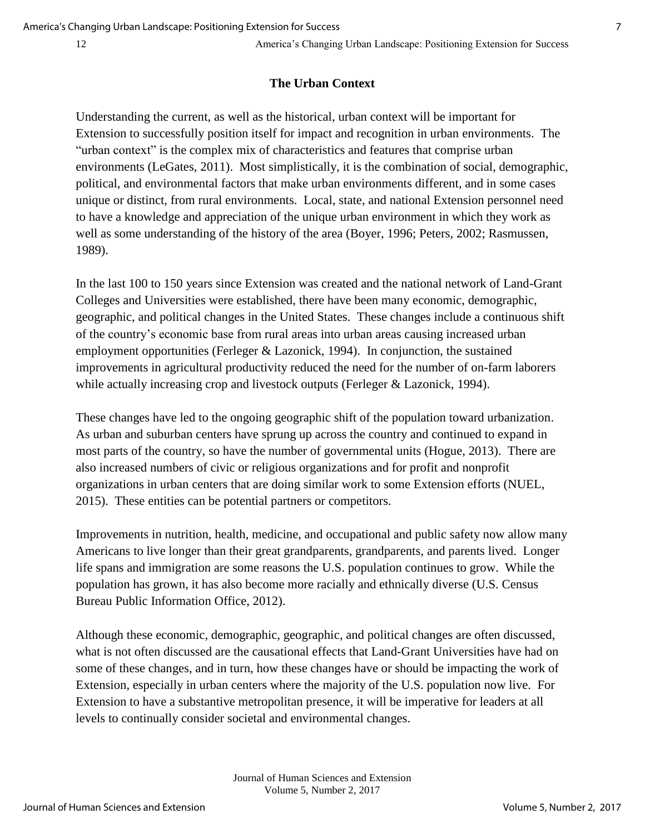## **The Urban Context**

Understanding the current, as well as the historical, urban context will be important for Extension to successfully position itself for impact and recognition in urban environments. The "urban context" is the complex mix of characteristics and features that comprise urban environments (LeGates, 2011). Most simplistically, it is the combination of social, demographic, political, and environmental factors that make urban environments different, and in some cases unique or distinct, from rural environments. Local, state, and national Extension personnel need to have a knowledge and appreciation of the unique urban environment in which they work as well as some understanding of the history of the area (Boyer, 1996; Peters, 2002; Rasmussen, 1989).

In the last 100 to 150 years since Extension was created and the national network of Land-Grant Colleges and Universities were established, there have been many economic, demographic, geographic, and political changes in the United States. These changes include a continuous shift of the country's economic base from rural areas into urban areas causing increased urban employment opportunities (Ferleger & Lazonick, 1994). In conjunction, the sustained improvements in agricultural productivity reduced the need for the number of on-farm laborers while actually increasing crop and livestock outputs (Ferleger & Lazonick, 1994).

These changes have led to the ongoing geographic shift of the population toward urbanization. As urban and suburban centers have sprung up across the country and continued to expand in most parts of the country, so have the number of governmental units (Hogue, 2013). There are also increased numbers of civic or religious organizations and for profit and nonprofit organizations in urban centers that are doing similar work to some Extension efforts (NUEL, 2015). These entities can be potential partners or competitors.

Improvements in nutrition, health, medicine, and occupational and public safety now allow many Americans to live longer than their great grandparents, grandparents, and parents lived. Longer life spans and immigration are some reasons the U.S. population continues to grow. While the population has grown, it has also become more racially and ethnically diverse (U.S. Census Bureau Public Information Office, 2012).

Although these economic, demographic, geographic, and political changes are often discussed, what is not often discussed are the causational effects that Land-Grant Universities have had on some of these changes, and in turn, how these changes have or should be impacting the work of Extension, especially in urban centers where the majority of the U.S. population now live. For Extension to have a substantive metropolitan presence, it will be imperative for leaders at all levels to continually consider societal and environmental changes.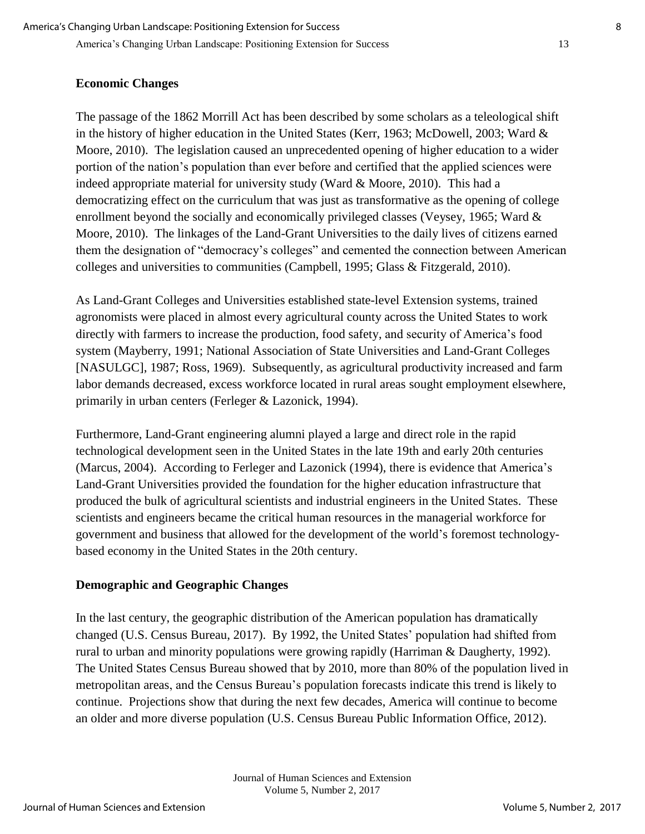# **Economic Changes**

The passage of the 1862 Morrill Act has been described by some scholars as a teleological shift in the history of higher education in the United States (Kerr, 1963; McDowell, 2003; Ward & Moore, 2010). The legislation caused an unprecedented opening of higher education to a wider portion of the nation's population than ever before and certified that the applied sciences were indeed appropriate material for university study (Ward & Moore, 2010). This had a democratizing effect on the curriculum that was just as transformative as the opening of college enrollment beyond the socially and economically privileged classes (Veysey, 1965; Ward & Moore, 2010). The linkages of the Land-Grant Universities to the daily lives of citizens earned them the designation of "democracy's colleges" and cemented the connection between American colleges and universities to communities (Campbell, 1995; Glass & Fitzgerald, 2010).

As Land-Grant Colleges and Universities established state-level Extension systems, trained agronomists were placed in almost every agricultural county across the United States to work directly with farmers to increase the production, food safety, and security of America's food system (Mayberry, 1991; National Association of State Universities and Land-Grant Colleges [NASULGC], 1987; Ross, 1969). Subsequently, as agricultural productivity increased and farm labor demands decreased, excess workforce located in rural areas sought employment elsewhere, primarily in urban centers (Ferleger & Lazonick, 1994).

Furthermore, Land-Grant engineering alumni played a large and direct role in the rapid technological development seen in the United States in the late 19th and early 20th centuries (Marcus, 2004). According to Ferleger and Lazonick (1994), there is evidence that America's Land-Grant Universities provided the foundation for the higher education infrastructure that produced the bulk of agricultural scientists and industrial engineers in the United States. These scientists and engineers became the critical human resources in the managerial workforce for government and business that allowed for the development of the world's foremost technologybased economy in the United States in the 20th century.

## **Demographic and Geographic Changes**

In the last century, the geographic distribution of the American population has dramatically changed (U.S. Census Bureau, 2017). By 1992, the United States' population had shifted from rural to urban and minority populations were growing rapidly (Harriman & Daugherty, 1992). The United States Census Bureau showed that by 2010, more than 80% of the population lived in metropolitan areas, and the Census Bureau's population forecasts indicate this trend is likely to continue. Projections show that during the next few decades, America will continue to become an older and more diverse population (U.S. Census Bureau Public Information Office, 2012).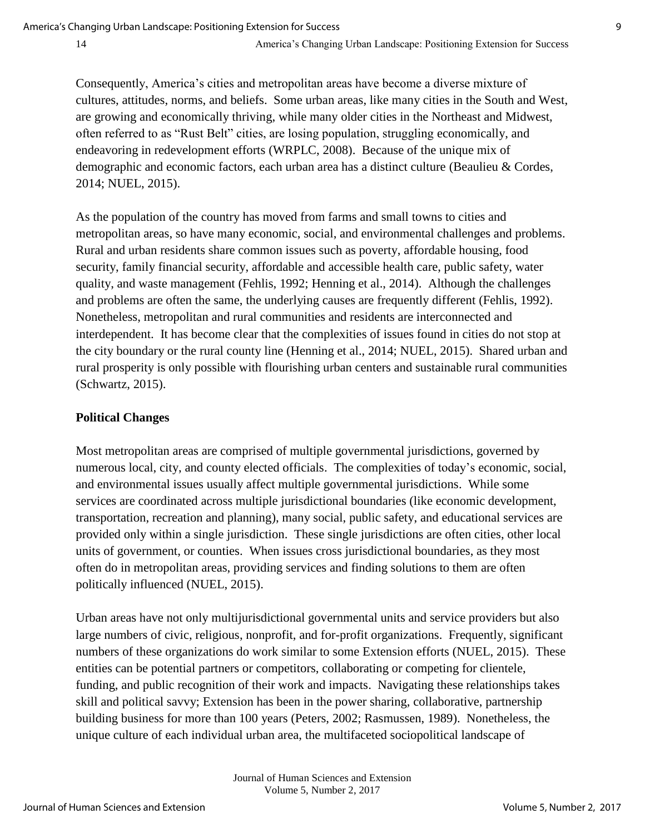Consequently, America's cities and metropolitan areas have become a diverse mixture of cultures, attitudes, norms, and beliefs. Some urban areas, like many cities in the South and West, are growing and economically thriving, while many older cities in the Northeast and Midwest, often referred to as "Rust Belt" cities, are losing population, struggling economically, and endeavoring in redevelopment efforts (WRPLC, 2008). Because of the unique mix of demographic and economic factors, each urban area has a distinct culture (Beaulieu & Cordes, 2014; NUEL, 2015).

As the population of the country has moved from farms and small towns to cities and metropolitan areas, so have many economic, social, and environmental challenges and problems. Rural and urban residents share common issues such as poverty, affordable housing, food security, family financial security, affordable and accessible health care, public safety, water quality, and waste management (Fehlis, 1992; Henning et al., 2014). Although the challenges and problems are often the same, the underlying causes are frequently different (Fehlis, 1992). Nonetheless, metropolitan and rural communities and residents are interconnected and interdependent. It has become clear that the complexities of issues found in cities do not stop at the city boundary or the rural county line (Henning et al., 2014; NUEL, 2015). Shared urban and rural prosperity is only possible with flourishing urban centers and sustainable rural communities (Schwartz, 2015).

## **Political Changes**

Most metropolitan areas are comprised of multiple governmental jurisdictions, governed by numerous local, city, and county elected officials. The complexities of today's economic, social, and environmental issues usually affect multiple governmental jurisdictions. While some services are coordinated across multiple jurisdictional boundaries (like economic development, transportation, recreation and planning), many social, public safety, and educational services are provided only within a single jurisdiction. These single jurisdictions are often cities, other local units of government, or counties. When issues cross jurisdictional boundaries, as they most often do in metropolitan areas, providing services and finding solutions to them are often politically influenced (NUEL, 2015).

Urban areas have not only multijurisdictional governmental units and service providers but also large numbers of civic, religious, nonprofit, and for-profit organizations. Frequently, significant numbers of these organizations do work similar to some Extension efforts (NUEL, 2015). These entities can be potential partners or competitors, collaborating or competing for clientele, funding, and public recognition of their work and impacts. Navigating these relationships takes skill and political savvy; Extension has been in the power sharing, collaborative, partnership building business for more than 100 years (Peters, 2002; Rasmussen, 1989). Nonetheless, the unique culture of each individual urban area, the multifaceted sociopolitical landscape of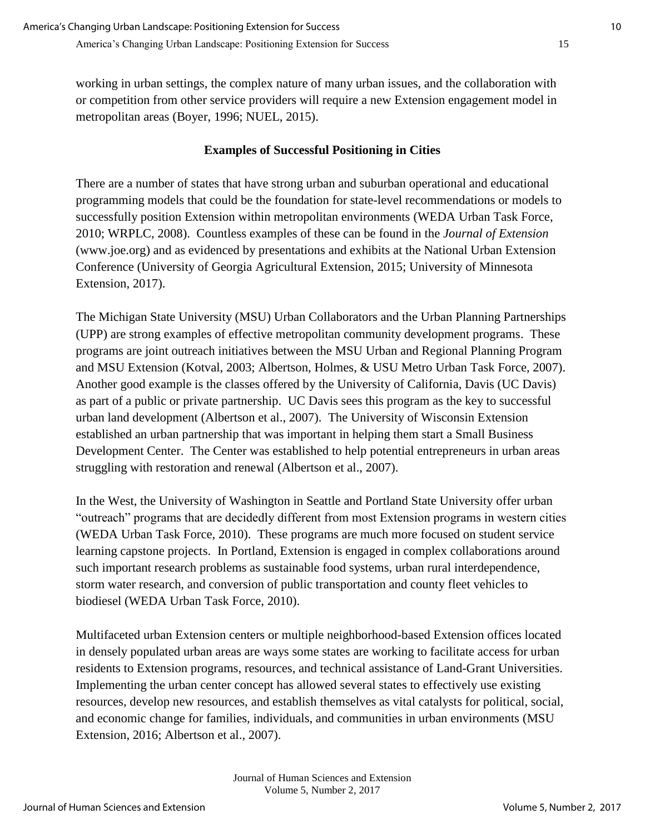working in urban settings, the complex nature of many urban issues, and the collaboration with or competition from other service providers will require a new Extension engagement model in metropolitan areas (Boyer, 1996; NUEL, 2015).

# **Examples of Successful Positioning in Cities**

There are a number of states that have strong urban and suburban operational and educational programming models that could be the foundation for state-level recommendations or models to successfully position Extension within metropolitan environments (WEDA Urban Task Force, 2010; WRPLC, 2008). Countless examples of these can be found in the *Journal of Extension* [\(www.joe.org\)](http://www.joe.org/) and as evidenced by presentations and exhibits at the National Urban Extension Conference (University of Georgia Agricultural Extension, 2015; University of Minnesota Extension, 2017).

The Michigan State University (MSU) Urban Collaborators and the Urban Planning Partnerships (UPP) are strong examples of effective metropolitan community development programs. These programs are joint outreach initiatives between the MSU Urban and Regional Planning Program and MSU Extension (Kotval, 2003; Albertson, Holmes, & USU Metro Urban Task Force, 2007). Another good example is the classes offered by the University of California, Davis (UC Davis) as part of a public or private partnership. UC Davis sees this program as the key to successful urban land development (Albertson et al., 2007). The University of Wisconsin Extension established an urban partnership that was important in helping them start a Small Business Development Center. The Center was established to help potential entrepreneurs in urban areas struggling with restoration and renewal (Albertson et al., 2007).

In the West, the University of Washington in Seattle and Portland State University offer urban "outreach" programs that are decidedly different from most Extension programs in western cities (WEDA Urban Task Force, 2010). These programs are much more focused on student service learning capstone projects. In Portland, Extension is engaged in complex collaborations around such important research problems as sustainable food systems, urban rural interdependence, storm water research, and conversion of public transportation and county fleet vehicles to biodiesel (WEDA Urban Task Force, 2010).

Multifaceted urban Extension centers or multiple neighborhood-based Extension offices located in densely populated urban areas are ways some states are working to facilitate access for urban residents to Extension programs, resources, and technical assistance of Land-Grant Universities. Implementing the urban center concept has allowed several states to effectively use existing resources, develop new resources, and establish themselves as vital catalysts for political, social, and economic change for families, individuals, and communities in urban environments (MSU Extension, 2016; Albertson et al., 2007).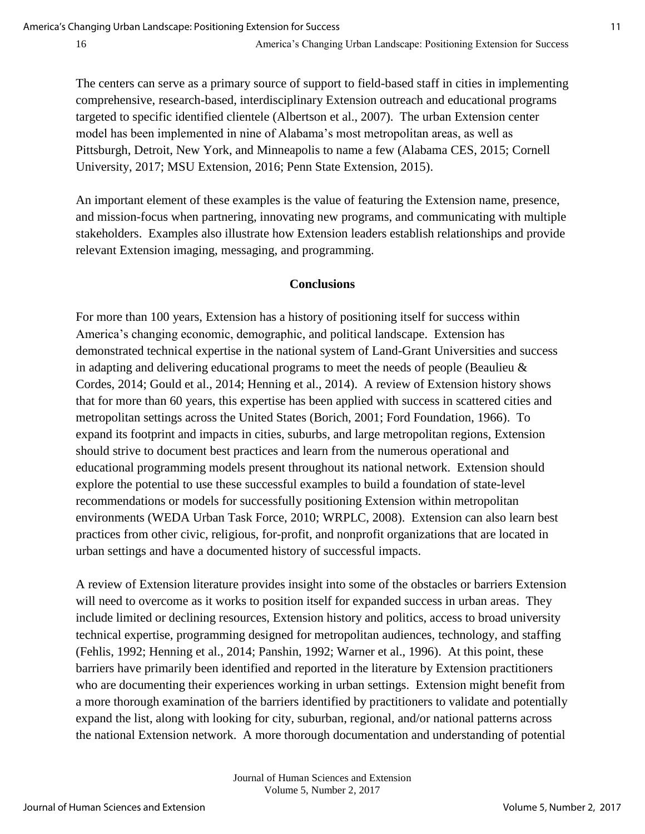The centers can serve as a primary source of support to field-based staff in cities in implementing comprehensive, research-based, interdisciplinary Extension outreach and educational programs targeted to specific identified clientele (Albertson et al., 2007). The urban Extension center model has been implemented in nine of Alabama's most metropolitan areas, as well as Pittsburgh, Detroit, New York, and Minneapolis to name a few (Alabama CES, 2015; Cornell University, 2017; MSU Extension, 2016; Penn State Extension, 2015).

An important element of these examples is the value of featuring the Extension name, presence, and mission-focus when partnering, innovating new programs, and communicating with multiple stakeholders. Examples also illustrate how Extension leaders establish relationships and provide relevant Extension imaging, messaging, and programming.

### **Conclusions**

For more than 100 years, Extension has a history of positioning itself for success within America's changing economic, demographic, and political landscape. Extension has demonstrated technical expertise in the national system of Land-Grant Universities and success in adapting and delivering educational programs to meet the needs of people (Beaulieu & Cordes, 2014; Gould et al., 2014; Henning et al., 2014). A review of Extension history shows that for more than 60 years, this expertise has been applied with success in scattered cities and metropolitan settings across the United States (Borich, 2001; Ford Foundation, 1966). To expand its footprint and impacts in cities, suburbs, and large metropolitan regions, Extension should strive to document best practices and learn from the numerous operational and educational programming models present throughout its national network. Extension should explore the potential to use these successful examples to build a foundation of state-level recommendations or models for successfully positioning Extension within metropolitan environments (WEDA Urban Task Force, 2010; WRPLC, 2008). Extension can also learn best practices from other civic, religious, for-profit, and nonprofit organizations that are located in urban settings and have a documented history of successful impacts.

A review of Extension literature provides insight into some of the obstacles or barriers Extension will need to overcome as it works to position itself for expanded success in urban areas. They include limited or declining resources, Extension history and politics, access to broad university technical expertise, programming designed for metropolitan audiences, technology, and staffing (Fehlis, 1992; Henning et al., 2014; Panshin, 1992; Warner et al., 1996). At this point, these barriers have primarily been identified and reported in the literature by Extension practitioners who are documenting their experiences working in urban settings. Extension might benefit from a more thorough examination of the barriers identified by practitioners to validate and potentially expand the list, along with looking for city, suburban, regional, and/or national patterns across the national Extension network. A more thorough documentation and understanding of potential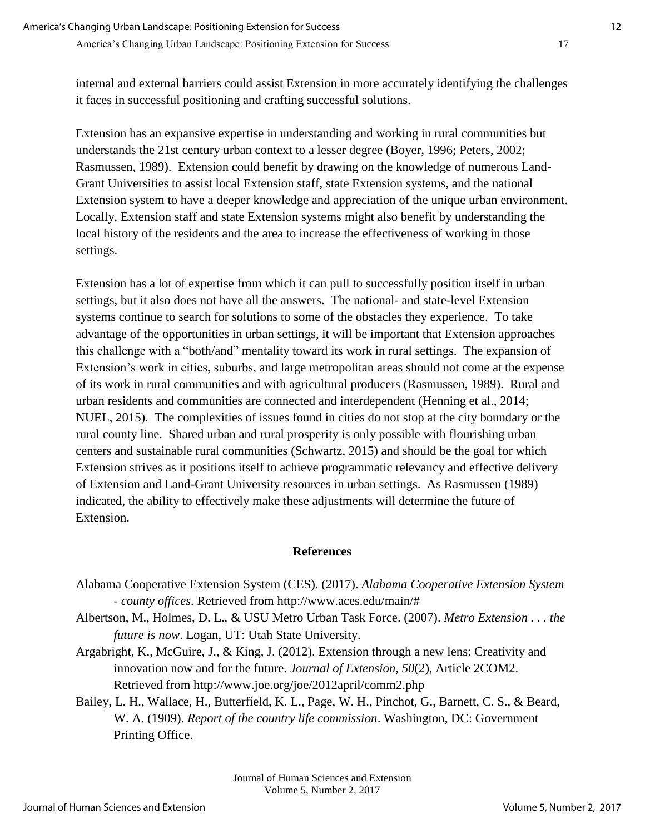internal and external barriers could assist Extension in more accurately identifying the challenges it faces in successful positioning and crafting successful solutions.

Extension has an expansive expertise in understanding and working in rural communities but understands the 21st century urban context to a lesser degree (Boyer, 1996; Peters, 2002; Rasmussen, 1989). Extension could benefit by drawing on the knowledge of numerous Land-Grant Universities to assist local Extension staff, state Extension systems, and the national Extension system to have a deeper knowledge and appreciation of the unique urban environment. Locally, Extension staff and state Extension systems might also benefit by understanding the local history of the residents and the area to increase the effectiveness of working in those settings.

Extension has a lot of expertise from which it can pull to successfully position itself in urban settings, but it also does not have all the answers. The national- and state-level Extension systems continue to search for solutions to some of the obstacles they experience. To take advantage of the opportunities in urban settings, it will be important that Extension approaches this challenge with a "both/and" mentality toward its work in rural settings. The expansion of Extension's work in cities, suburbs, and large metropolitan areas should not come at the expense of its work in rural communities and with agricultural producers (Rasmussen, 1989). Rural and urban residents and communities are connected and interdependent (Henning et al., 2014; NUEL, 2015). The complexities of issues found in cities do not stop at the city boundary or the rural county line. Shared urban and rural prosperity is only possible with flourishing urban centers and sustainable rural communities (Schwartz, 2015) and should be the goal for which Extension strives as it positions itself to achieve programmatic relevancy and effective delivery of Extension and Land-Grant University resources in urban settings. As Rasmussen (1989) indicated, the ability to effectively make these adjustments will determine the future of Extension.

# **References**

- Alabama Cooperative Extension System (CES). (2017). *Alabama Cooperative Extension System - county offices*. Retrieved from http://www.aces.edu/main/#
- Albertson, M., Holmes, D. L., & USU Metro Urban Task Force. (2007). *Metro Extension . . . the future is now*. Logan, UT: Utah State University.
- Argabright, K., McGuire, J., & King, J. (2012). Extension through a new lens: Creativity and innovation now and for the future. *Journal of Extension*, *50*(2), Article 2COM2. Retrieved from http://www.joe.org/joe/2012april/comm2.php
- Bailey, L. H., Wallace, H., Butterfield, K. L., Page, W. H., Pinchot, G., Barnett, C. S., & Beard, W. A. (1909). *Report of the country life commission*. Washington, DC: Government Printing Office.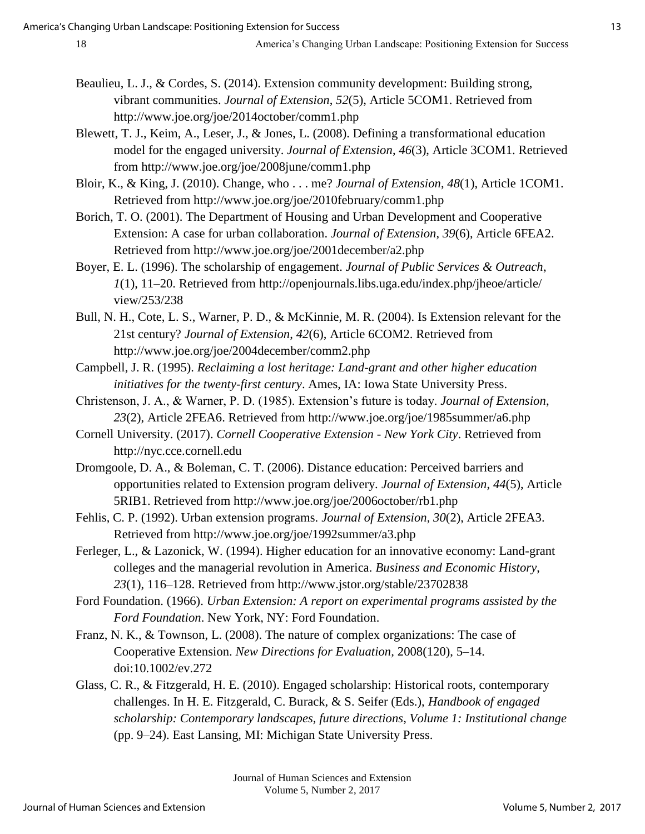- Beaulieu, L. J., & Cordes, S. (2014). Extension community development: Building strong, vibrant communities. *Journal of Extension*, *52*(5), Article 5COM1. Retrieved from http://www.joe.org/joe/2014october/comm1.php
- Blewett, T. J., Keim, A., Leser, J., & Jones, L. (2008). Defining a transformational education model for the engaged university. *Journal of Extension*, *46*(3), Article 3COM1. Retrieved from http://www.joe.org/joe/2008june/comm1.php
- Bloir, K., & King, J. (2010). Change, who . . . me? *Journal of Extension*, *48*(1), Article 1COM1. Retrieved from http://www.joe.org/joe/2010february/comm1.php
- Borich, T. O. (2001). The Department of Housing and Urban Development and Cooperative Extension: A case for urban collaboration. *Journal of Extension*, *39*(6), Article 6FEA2. Retrieved from http://www.joe.org/joe/2001december/a2.php
- Boyer, E. L. (1996). The scholarship of engagement. *Journal of Public Services & Outreach*, *1*(1), 11–20. Retrieved from http://openjournals.libs.uga.edu/index.php/jheoe/article/ view/253/238
- Bull, N. H., Cote, L. S., Warner, P. D., & McKinnie, M. R. (2004). Is Extension relevant for the 21st century? *Journal of Extension*, *42*(6), Article 6COM2. Retrieved from http://www.joe.org/joe/2004december/comm2.php
- Campbell, J. R. (1995). *Reclaiming a lost heritage: Land-grant and other higher education initiatives for the twenty-first century*. Ames, IA: Iowa State University Press.
- Christenson, J. A., & Warner, P. D. (1985). Extension's future is today. *Journal of Extension*, *23*(2), Article 2FEA6. Retrieved from http://www.joe.org/joe/1985summer/a6.php
- Cornell University. (2017). *Cornell Cooperative Extension New York City*. Retrieved from http://nyc.cce.cornell.edu
- Dromgoole, D. A., & Boleman, C. T. (2006). Distance education: Perceived barriers and opportunities related to Extension program delivery. *Journal of Extension*, *44*(5), Article 5RIB1. Retrieved from http://www.joe.org/joe/2006october/rb1.php
- Fehlis, C. P. (1992). Urban extension programs. *Journal of Extension*, *30*(2), Article 2FEA3. Retrieved from http://www.joe.org/joe/1992summer/a3.php
- Ferleger, L., & Lazonick, W. (1994). Higher education for an innovative economy: Land-grant colleges and the managerial revolution in America. *Business and Economic History*, *23*(1), 116–128. Retrieved from http://www.jstor.org/stable/23702838
- Ford Foundation. (1966). *Urban Extension: A report on experimental programs assisted by the Ford Foundation*. New York, NY: Ford Foundation.
- Franz, N. K., & Townson, L. (2008). The nature of complex organizations: The case of Cooperative Extension. *New Directions for Evaluation,* 2008(120), 5–14. doi:10.1002/ev.272
- Glass, C. R., & Fitzgerald, H. E. (2010). Engaged scholarship: Historical roots, contemporary challenges. In H. E. Fitzgerald, C. Burack, & S. Seifer (Eds.), *Handbook of engaged scholarship: Contemporary landscapes, future directions, Volume 1: Institutional change* (pp. 9–24). East Lansing, MI: Michigan State University Press.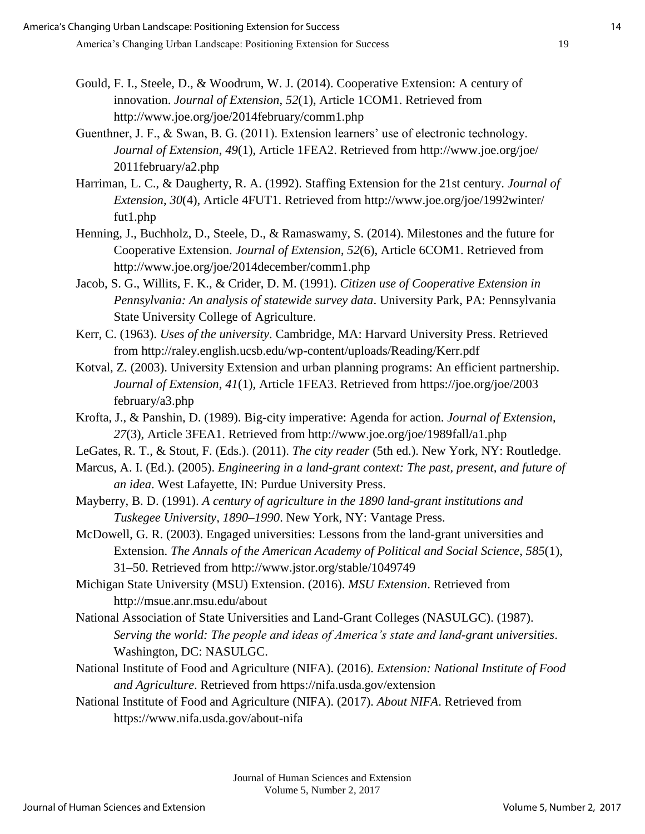- Gould, F. I., Steele, D., & Woodrum, W. J. (2014). Cooperative Extension: A century of innovation. *Journal of Extension*, *52*(1), Article 1COM1. Retrieved from http://www.joe.org/joe/2014february/comm1.php
- Guenthner, J. F., & Swan, B. G. (2011). Extension learners' use of electronic technology. *Journal of Extension*, *49*(1), Article 1FEA2. Retrieved from http://www.joe.org/joe/ 2011february/a2.php
- Harriman, L. C., & Daugherty, R. A. (1992). Staffing Extension for the 21st century. *Journal of Extension*, *30*(4), Article 4FUT1. Retrieved from http://www.joe.org/joe/1992winter/ fut1.php
- Henning, J., Buchholz, D., Steele, D., & Ramaswamy, S. (2014). Milestones and the future for Cooperative Extension. *Journal of Extension*, *52*(6), Article 6COM1. Retrieved from http://www.joe.org/joe/2014december/comm1.php
- Jacob, S. G., Willits, F. K., & Crider, D. M. (1991). *Citizen use of Cooperative Extension in Pennsylvania: An analysis of statewide survey data*. University Park, PA: Pennsylvania State University College of Agriculture.
- Kerr, C. (1963). *Uses of the university*. Cambridge, MA: Harvard University Press. Retrieved from http://raley.english.ucsb.edu/wp-content/uploads/Reading/Kerr.pdf
- Kotval, Z. (2003). University Extension and urban planning programs: An efficient partnership. *Journal of Extension*, *41*(1), Article 1FEA3. Retrieved from https://joe.org/joe/2003 february/a3.php
- Krofta, J., & Panshin, D. (1989). Big-city imperative: Agenda for action. *Journal of Extension*, *27*(3), Article 3FEA1. Retrieved from http://www.joe.org/joe/1989fall/a1.php
- LeGates, R. T., & Stout, F. (Eds.). (2011). *The city reader* (5th ed.). New York, NY: Routledge.
- Marcus, A. I. (Ed.). (2005). *Engineering in a land-grant context: The past, present, and future of an idea*. West Lafayette, IN: Purdue University Press.
- Mayberry, B. D. (1991). *A century of agriculture in the 1890 land-grant institutions and Tuskegee University, 1890*–*1990*. New York, NY: Vantage Press.
- McDowell, G. R. (2003). Engaged universities: Lessons from the land-grant universities and Extension. *The Annals of the American Academy of Political and Social Science*, *585*(1), 31–50. Retrieved from http://www.jstor.org/stable/1049749
- Michigan State University (MSU) Extension. (2016). *MSU Extension*. Retrieved from http://msue.anr.msu.edu/about
- National Association of State Universities and Land-Grant Colleges (NASULGC). (1987). *Serving the world: The people and ideas of America's state and land-grant universities*. Washington, DC: NASULGC.
- National Institute of Food and Agriculture (NIFA). (2016). *Extension: National Institute of Food and Agriculture*. Retrieved from https://nifa.usda.gov/extension
- National Institute of Food and Agriculture (NIFA). (2017). *About NIFA*. Retrieved from https://www.nifa.usda.gov/about-nifa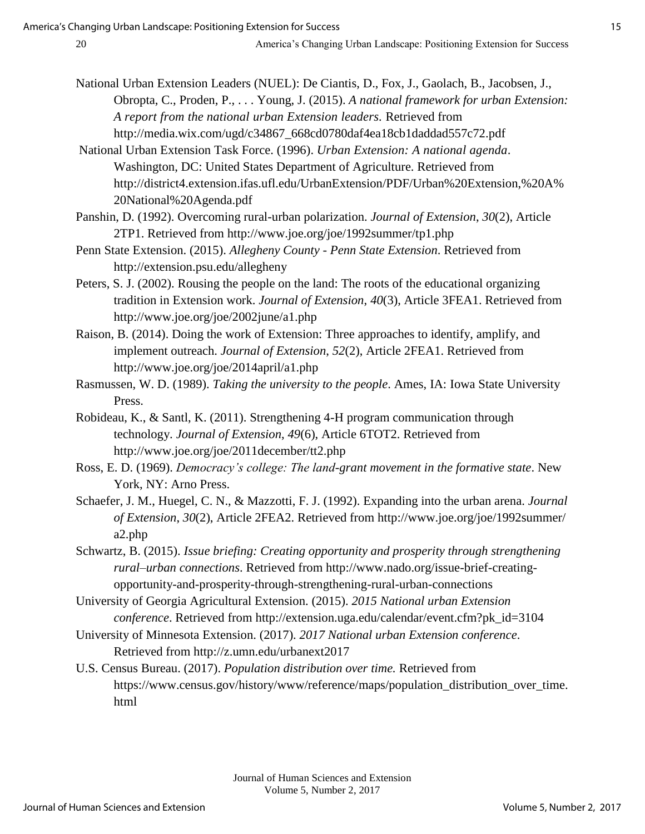- National Urban Extension Leaders (NUEL): De Ciantis, D., Fox, J., Gaolach, B., Jacobsen, J., Obropta, C., Proden, P., . . . Young, J. (2015). *A national framework for urban Extension: A report from the national urban Extension leaders.* Retrieved from http://media.wix.com/ugd/c34867\_668cd0780daf4ea18cb1daddad557c72.pdf
- National Urban Extension Task Force. (1996). *Urban Extension: A national agenda*. Washington, DC: United States Department of Agriculture. Retrieved from http://district4.extension.ifas.ufl.edu/UrbanExtension/PDF/Urban%20Extension,%20A% 20National%20Agenda.pdf
- Panshin, D. (1992). Overcoming rural-urban polarization. *Journal of Extension*, *30*(2), Article 2TP1. Retrieved from http://www.joe.org/joe/1992summer/tp1.php
- Penn State Extension. (2015). *Allegheny County Penn State Extension*. Retrieved from http://extension.psu.edu/allegheny
- Peters, S. J. (2002). Rousing the people on the land: The roots of the educational organizing tradition in Extension work. *Journal of Extension*, *40*(3), Article 3FEA1. Retrieved from http://www.joe.org/joe/2002june/a1.php
- Raison, B. (2014). Doing the work of Extension: Three approaches to identify, amplify, and implement outreach. *Journal of Extension*, *52*(2), Article 2FEA1. Retrieved from http://www.joe.org/joe/2014april/a1.php
- Rasmussen, W. D. (1989). *Taking the university to the people*. Ames, IA: Iowa State University Press.
- Robideau, K., & Santl, K. (2011). Strengthening 4-H program communication through technology. *Journal of Extension*, *49*(6), Article 6TOT2. Retrieved from http://www.joe.org/joe/2011december/tt2.php
- Ross, E. D. (1969). *Democracy's college: The land-grant movement in the formative state*. New York, NY: Arno Press.
- Schaefer, J. M., Huegel, C. N., & Mazzotti, F. J. (1992). Expanding into the urban arena. *Journal of Extension*, *30*(2), Article 2FEA2. Retrieved from http://www.joe.org/joe/1992summer/ a2.php
- Schwartz, B. (2015). *Issue briefing: Creating opportunity and prosperity through strengthening rural*–*urban connections*. Retrieved from http://www.nado.org/issue-brief-creatingopportunity-and-prosperity-through-strengthening-rural-urban-connections
- University of Georgia Agricultural Extension. (2015). *2015 National urban Extension conference*. Retrieved from http://extension.uga.edu/calendar/event.cfm?pk\_id=3104
- University of Minnesota Extension. (2017). *2017 National urban Extension conference*. Retrieved from http://z.umn.edu/urbanext2017
- U.S. Census Bureau. (2017). *Population distribution over time.* Retrieved from https://www.census.gov/history/www/reference/maps/population\_distribution\_over\_time. html